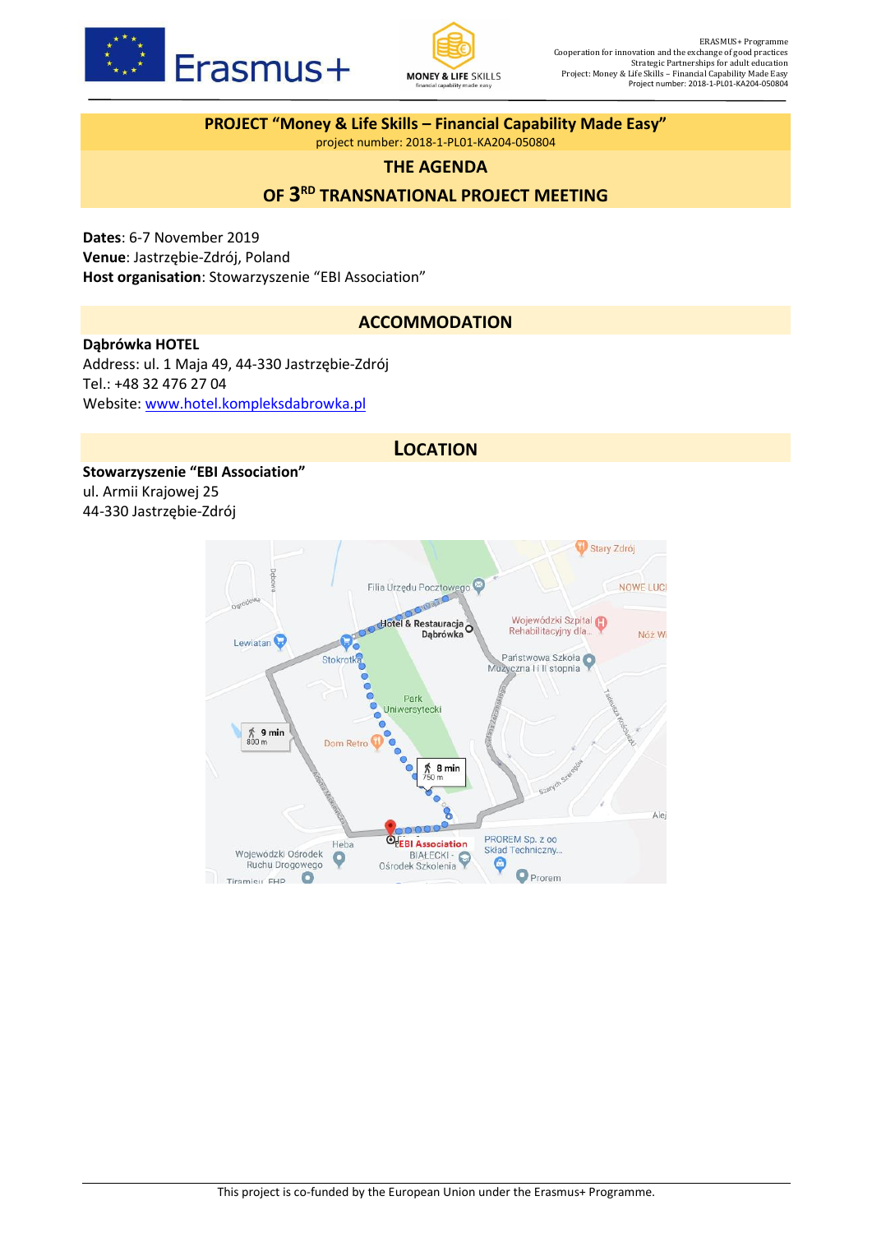



**PROJECT "Money & Life Skills – Financial Capability Made Easy"** project number: 2018-1-PL01-KA204-050804

### **THE AGENDA**

# **OF 3 RD TRANSNATIONAL PROJECT MEETING**

**Dates**: 6-7 November 2019 **Venue**: Jastrzębie-Zdrój, Poland **Host organisation**: Stowarzyszenie "EBI Association"

### **ACCOMMODATION**

#### **Dąbrówka HOTEL**

Address: ul. 1 Maja 49, 44-330 Jastrzębie-Zdrój Tel.: +48 32 476 27 04 Website: [www.hotel.kompleksdabrowka.pl](http://www.hotel.kompleksdabrowka.pl/) 

### **LOCATION**

**Stowarzyszenie "EBI Association"** ul. Armii Krajowej 25 44-330 Jastrzębie-Zdrój